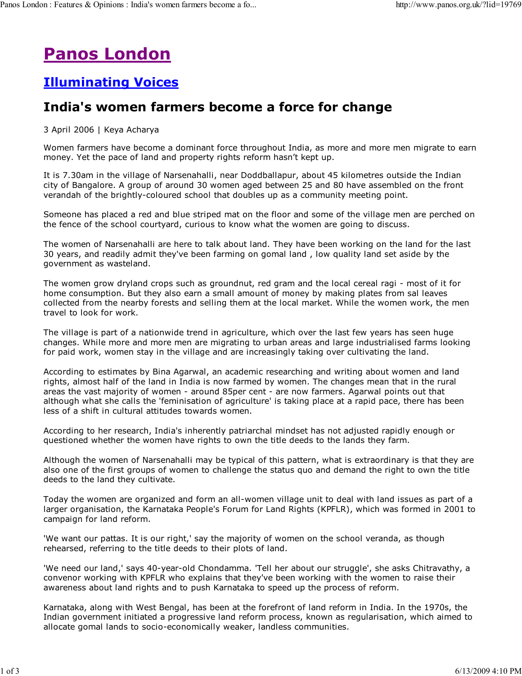## Panos London

## Illuminating Voices

## India's women farmers become a force for change

3 April 2006 | Keya Acharya

Women farmers have become a dominant force throughout India, as more and more men migrate to earn money. Yet the pace of land and property rights reform hasn't kept up.

It is 7.30am in the village of Narsenahalli, near Doddballapur, about 45 kilometres outside the Indian city of Bangalore. A group of around 30 women aged between 25 and 80 have assembled on the front verandah of the brightly-coloured school that doubles up as a community meeting point.

Someone has placed a red and blue striped mat on the floor and some of the village men are perched on the fence of the school courtyard, curious to know what the women are going to discuss.

The women of Narsenahalli are here to talk about land. They have been working on the land for the last 30 years, and readily admit they've been farming on gomal land , low quality land set aside by the government as wasteland.

The women grow dryland crops such as groundnut, red gram and the local cereal ragi - most of it for home consumption. But they also earn a small amount of money by making plates from sal leaves collected from the nearby forests and selling them at the local market. While the women work, the men travel to look for work.

The village is part of a nationwide trend in agriculture, which over the last few years has seen huge changes. While more and more men are migrating to urban areas and large industrialised farms looking for paid work, women stay in the village and are increasingly taking over cultivating the land.

According to estimates by Bina Agarwal, an academic researching and writing about women and land rights, almost half of the land in India is now farmed by women. The changes mean that in the rural areas the vast majority of women - around 85per cent - are now farmers. Agarwal points out that although what she calls the 'feminisation of agriculture' is taking place at a rapid pace, there has been less of a shift in cultural attitudes towards women.

According to her research, India's inherently patriarchal mindset has not adjusted rapidly enough or questioned whether the women have rights to own the title deeds to the lands they farm.

Although the women of Narsenahalli may be typical of this pattern, what is extraordinary is that they are also one of the first groups of women to challenge the status quo and demand the right to own the title deeds to the land they cultivate.

Today the women are organized and form an all-women village unit to deal with land issues as part of a larger organisation, the Karnataka People's Forum for Land Rights (KPFLR), which was formed in 2001 to campaign for land reform.

'We want our pattas. It is our right,' say the majority of women on the school veranda, as though rehearsed, referring to the title deeds to their plots of land.

'We need our land,' says 40-year-old Chondamma. 'Tell her about our struggle', she asks Chitravathy, a convenor working with KPFLR who explains that they've been working with the women to raise their awareness about land rights and to push Karnataka to speed up the process of reform.

Karnataka, along with West Bengal, has been at the forefront of land reform in India. In the 1970s, the Indian government initiated a progressive land reform process, known as regularisation, which aimed to allocate gomal lands to socio-economically weaker, landless communities.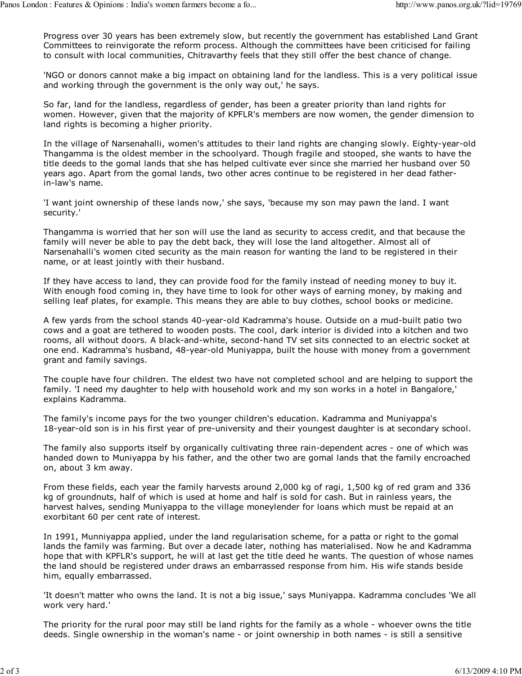Progress over 30 years has been extremely slow, but recently the government has established Land Grant Committees to reinvigorate the reform process. Although the committees have been criticised for failing to consult with local communities, Chitravarthy feels that they still offer the best chance of change.

'NGO or donors cannot make a big impact on obtaining land for the landless. This is a very political issue and working through the government is the only way out,' he says.

So far, land for the landless, regardless of gender, has been a greater priority than land rights for women. However, given that the majority of KPFLR's members are now women, the gender dimension to land rights is becoming a higher priority.

In the village of Narsenahalli, women's attitudes to their land rights are changing slowly. Eighty-year-old Thangamma is the oldest member in the schoolyard. Though fragile and stooped, she wants to have the title deeds to the gomal lands that she has helped cultivate ever since she married her husband over 50 years ago. Apart from the gomal lands, two other acres continue to be registered in her dead fatherin-law's name.

'I want joint ownership of these lands now,' she says, 'because my son may pawn the land. I want security.'

Thangamma is worried that her son will use the land as security to access credit, and that because the family will never be able to pay the debt back, they will lose the land altogether. Almost all of Narsenahalli's women cited security as the main reason for wanting the land to be registered in their name, or at least jointly with their husband.

If they have access to land, they can provide food for the family instead of needing money to buy it. With enough food coming in, they have time to look for other ways of earning money, by making and selling leaf plates, for example. This means they are able to buy clothes, school books or medicine.

A few yards from the school stands 40-year-old Kadramma's house. Outside on a mud-built patio two cows and a goat are tethered to wooden posts. The cool, dark interior is divided into a kitchen and two rooms, all without doors. A black-and-white, second-hand TV set sits connected to an electric socket at one end. Kadramma's husband, 48-year-old Muniyappa, built the house with money from a government grant and family savings.

The couple have four children. The eldest two have not completed school and are helping to support the family. 'I need my daughter to help with household work and my son works in a hotel in Bangalore,' explains Kadramma.

The family's income pays for the two younger children's education. Kadramma and Muniyappa's 18-year-old son is in his first year of pre-university and their youngest daughter is at secondary school.

The family also supports itself by organically cultivating three rain-dependent acres - one of which was handed down to Muniyappa by his father, and the other two are gomal lands that the family encroached on, about 3 km away.

From these fields, each year the family harvests around 2,000 kg of ragi, 1,500 kg of red gram and 336 kg of groundnuts, half of which is used at home and half is sold for cash. But in rainless years, the harvest halves, sending Muniyappa to the village moneylender for loans which must be repaid at an exorbitant 60 per cent rate of interest.

In 1991, Munniyappa applied, under the land regularisation scheme, for a patta or right to the gomal lands the family was farming. But over a decade later, nothing has materialised. Now he and Kadramma hope that with KPFLR's support, he will at last get the title deed he wants. The question of whose names the land should be registered under draws an embarrassed response from him. His wife stands beside him, equally embarrassed.

'It doesn't matter who owns the land. It is not a big issue,' says Muniyappa. Kadramma concludes 'We all work very hard.'

The priority for the rural poor may still be land rights for the family as a whole - whoever owns the title deeds. Single ownership in the woman's name - or joint ownership in both names - is still a sensitive